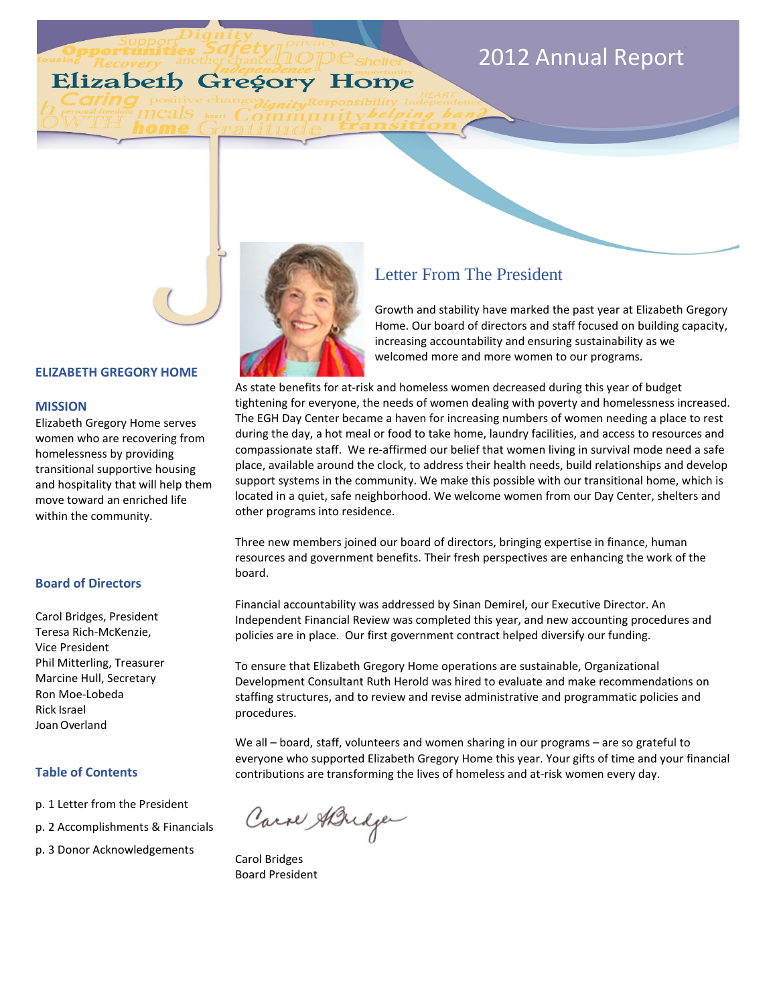# 2012 Annual Report

# Elizabeth Gregory Home



# Letter From The President

Growth and stability have marked the past year at Elizabeth Gregory Home. Our board of directors and staff focused on building capacity, increasing accountability and ensuring sustainability as we welcomed more and more women to our programs.

As state benefits for at-risk and homeless women decreased during this year of budget tightening for everyone, the needs of women dealing with poverty and homelessness increased. The EGH Day Center became a haven for increasing numbers of women needing a place to rest during the day, a hot meal or food to take home, laundry facilities, and access to resources and compassionate staff. We re-affirmed our belief that women living in survival mode need a safe place, available around the clock, to address their health needs, build relationships and develop support systems in the community. We make this possible with our transitional home, which is located in a quiet, safe neighborhood. We welcome women from our Day Center, shelters and other programs into residence.

Three new members joined our board of directors, bringing expertise in finance, human resources and government benefits. Their fresh perspectives are enhancing the work of the board.

Financial accountability was addressed by Sinan Demirel, our Executive Director. An Independent Financial Review was completed this year, and new accounting procedures and policies are in place. Our first government contract helped diversify our funding.

To ensure that Elizabeth Gregory Home operations are sustainable, Organizational Development Consultant Ruth Herold was hired to evaluate and make recommendations on staffing structures, and to review and revise administrative and programmatic policies and procedures.

We all – board, staff, volunteers and women sharing in our programs – are so grateful to everyone who supported Elizabeth Gregory Home this year. Your gifts of time and your financial contributions are transforming the lives of homeless and at-risk women every day.

Carre ABridge

Carol Bridges Board President

#### **ELIZABETH GREGORY HOME**

#### **MISSION**

Elizabeth Gregory Home serves women who are recovering from homelessness by providing transitional supportive housing and hospitality that will help them move toward an enriched life within the community.

#### **Board of Directors**

Carol Bridges, President Teresa Rich-McKenzie, Vice President Phil Mitterling, Treasurer Marcine Hull, Secretary Ron Moe-Lobeda Rick Israel JoanOverland

#### **Table of Contents**

- p. 1 Letter from the President
- p. 2 Accomplishments & Financials
- p. 3 Donor Acknowledgements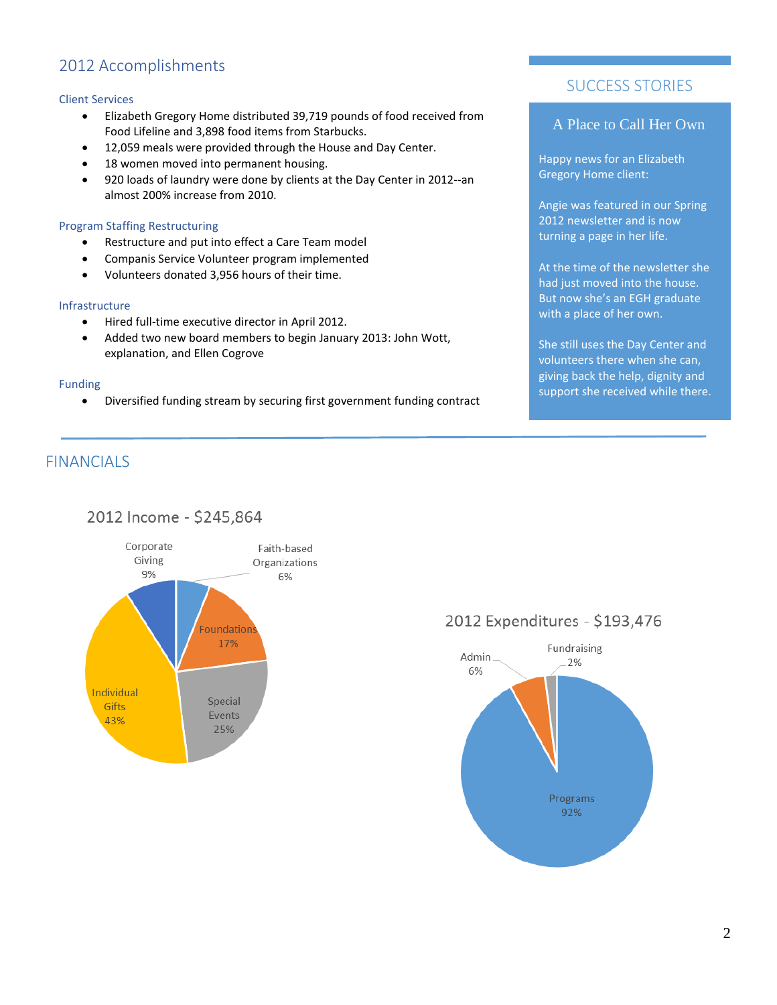# 2012 Accomplishments

#### Client Services

- Elizabeth Gregory Home distributed 39,719 pounds of food received from Food Lifeline and 3,898 food items from Starbucks.
- 12,059 meals were provided through the House and Day Center.
- 18 women moved into permanent housing.
- 920 loads of laundry were done by clients at the Day Center in 2012--an almost 200% increase from 2010.

#### Program Staffing Restructuring

- Restructure and put into effect a Care Team model
- Companis Service Volunteer program implemented
- Volunteers donated 3,956 hours of their time.

#### Infrastructure

- Hired full-time executive director in April 2012.
- Added two new board members to begin January 2013: John Wott, explanation, and Ellen Cogrove

#### Funding

• Diversified funding stream by securing first government funding contract

### SUCCESS STORIES

### A Place to Call Her Own

Happy news for an Elizabeth Gregory Home client:

Angie was featured in our Spring 2012 newsletter and is now turning a page in her life.

At the time of the newsletter she had just moved into the house. But now she's an EGH graduate with a place of her own.

She still uses the Day Center and volunteers there when she can, giving back the help, dignity and support she received while there.

## **FINANCIALS**

### 2012 Income - \$245,864



## 2012 Expenditures - \$193,476